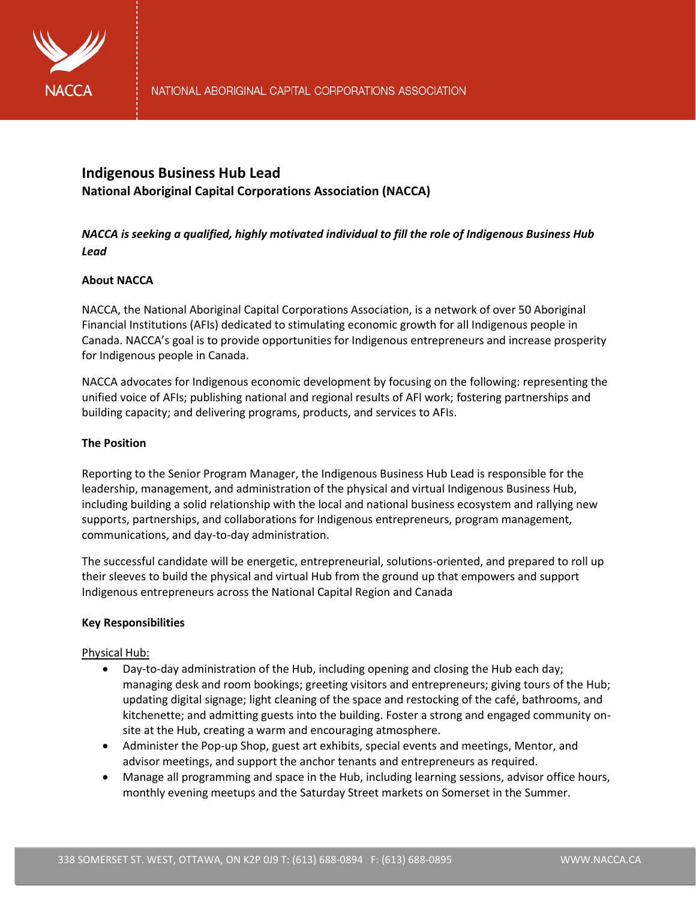

# **Indigenous Business Hub Lead National Aboriginal Capital Corporations Association (NACCA)**

## *NACCA is seeking a qualified, highly motivated individual to fill the role of Indigenous Business Hub Lead*

## **About NACCA**

NACCA, the National Aboriginal Capital Corporations Association, is a network of over 50 Aboriginal Financial Institutions (AFIs) dedicated to stimulating economic growth for all Indigenous people in Canada. NACCA's goal is to provide opportunities for Indigenous entrepreneurs and increase prosperity for Indigenous people in Canada.

NACCA advocates for Indigenous economic development by focusing on the following: representing the unified voice of AFIs; publishing national and regional results of AFI work; fostering partnerships and building capacity; and delivering programs, products, and services to AFIs.

## **The Position**

Reporting to the Senior Program Manager, the Indigenous Business Hub Lead is responsible for the leadership, management, and administration of the physical and virtual Indigenous Business Hub, including building a solid relationship with the local and national business ecosystem and rallying new supports, partnerships, and collaborations for Indigenous entrepreneurs, program management, communications, and day-to-day administration.

The successful candidate will be energetic, entrepreneurial, solutions-oriented, and prepared to roll up their sleeves to build the physical and virtual Hub from the ground up that empowers and support Indigenous entrepreneurs across the National Capital Region and Canada

## **Key Responsibilities**

## Physical Hub:

- Day-to-day administration of the Hub, including opening and closing the Hub each day; managing desk and room bookings; greeting visitors and entrepreneurs; giving tours of the Hub; updating digital signage; light cleaning of the space and restocking of the café, bathrooms, and kitchenette; and admitting guests into the building. Foster a strong and engaged community onsite at the Hub, creating a warm and encouraging atmosphere.
- Administer the Pop-up Shop, guest art exhibits, special events and meetings, Mentor, and advisor meetings, and support the anchor tenants and entrepreneurs as required.
- Manage all programming and space in the Hub, including learning sessions, advisor office hours, monthly evening meetups and the Saturday Street markets on Somerset in the Summer.